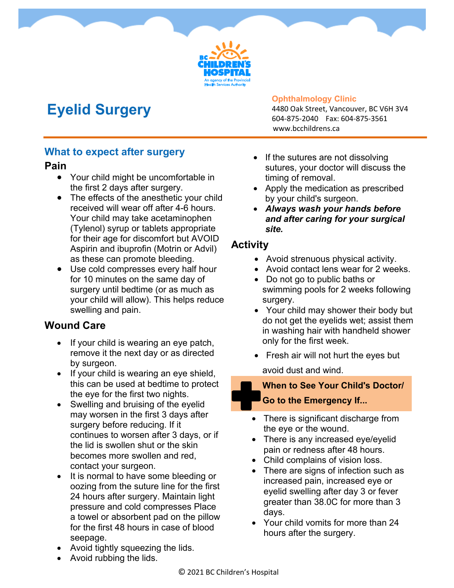

# **Eyelid Surgery**

#### **Ophthalmology Clinic**

4480 Oak Street, Vancouver, BC V6H 3V4 604-875-2040 Fax: 604-875-3561 www.bcchildrens.ca

#### **What to expect after surgery**

#### **Pain**

- Your child might be uncomfortable in the first 2 days after surgery.
- The effects of the anesthetic your child received will wear off after 4-6 hours. Your child may take acetaminophen (Tylenol) syrup or tablets appropriate for their age for discomfort but AVOID Aspirin and ibuprofin (Motrin or Advil) as these can promote bleeding.
- Use cold compresses every half hour for 10 minutes on the same day of surgery until bedtime (or as much as your child will allow). This helps reduce swelling and pain.

### **Wound Care**

- If your child is wearing an eye patch, remove it the next day or as directed by surgeon.
- $\bullet$  If your child is wearing an eye shield, this can be used at bedtime to protect the eye for the first two nights.
- Swelling and bruising of the eyelid may worsen in the first 3 days after surgery before reducing. If it continues to worsen after 3 days, or if the lid is swollen shut or the skin becomes more swollen and red, contact your surgeon.
- It is normal to have some bleeding or oozing from the suture line for the first 24 hours after surgery. Maintain light pressure and cold compresses Place a towel or absorbent pad on the pillow for the first 48 hours in case of blood seepage.
- Avoid tightly squeezing the lids.
- Avoid rubbing the lids.
- If the sutures are not dissolving sutures, your doctor will discuss the timing of removal.
- Apply the medication as prescribed by your child's surgeon.
- *Always wash your hands before and after caring for your surgical site.*

### **Activity**

- Avoid strenuous physical activity.
- Avoid contact lens wear for 2 weeks.
- Do not go to public baths or swimming pools for 2 weeks following surgery.
- Your child may shower their body but do not get the eyelids wet; assist them in washing hair with handheld shower only for the first week.
- Fresh air will not hurt the eyes but avoid dust and wind.

### **When to See Your Child's Doctor/ Go to the Emergency If...**

- There is significant discharge from the eye or the wound.
- There is any increased eye/eyelid pain or redness after 48 hours.
- Child complains of vision loss.
- There are signs of infection such as increased pain, increased eye or eyelid swelling after day 3 or fever greater than 38.0C for more than 3 days.
- Your child vomits for more than 24 hours after the surgery.